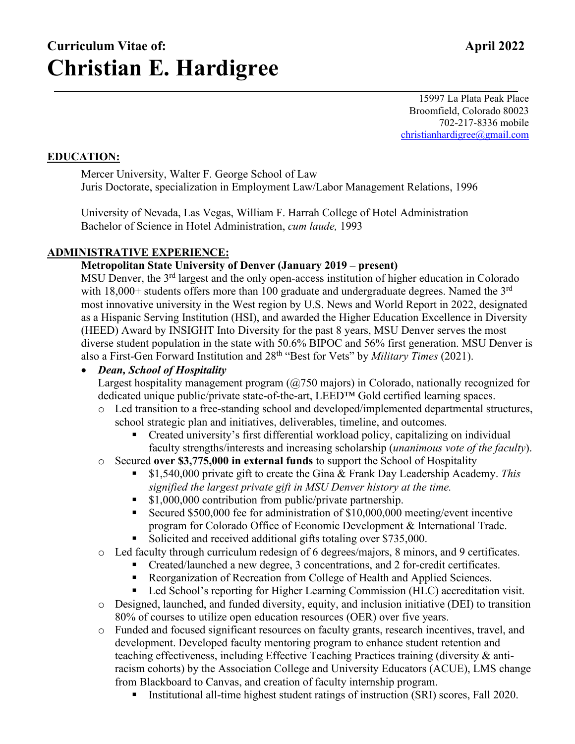# **Curriculum Vitae of:** April 2022 **Christian E. Hardigree**

15997 La Plata Peak Place Broomfield, Colorado 80023 702-217-8336 mobile christianhardigree@gmail.com

#### **EDUCATION:**

Mercer University, Walter F. George School of Law Juris Doctorate, specialization in Employment Law/Labor Management Relations, 1996

University of Nevada, Las Vegas, William F. Harrah College of Hotel Administration Bachelor of Science in Hotel Administration, *cum laude,* 1993

#### **ADMINISTRATIVE EXPERIENCE:**

#### **Metropolitan State University of Denver (January 2019 – present)**

MSU Denver, the 3<sup>rd</sup> largest and the only open-access institution of higher education in Colorado with 18,000+ students offers more than 100 graduate and undergraduate degrees. Named the 3<sup>rd</sup> most innovative university in the West region by U.S. News and World Report in 2022, designated as a Hispanic Serving Institution (HSI), and awarded the Higher Education Excellence in Diversity (HEED) Award by INSIGHT Into Diversity for the past 8 years, MSU Denver serves the most diverse student population in the state with 50.6% BIPOC and 56% first generation. MSU Denver is also a First-Gen Forward Institution and 28th "Best for Vets" by *Military Times* (2021).

#### • *Dean, School of Hospitality*

Largest hospitality management program  $(Q750 \text{ majors})$  in Colorado, nationally recognized for dedicated unique public/private state-of-the-art, LEED™ Gold certified learning spaces.

- $\circ$  Led transition to a free-standing school and developed/implemented departmental structures, school strategic plan and initiatives, deliverables, timeline, and outcomes.
	- Created university's first differential workload policy, capitalizing on individual faculty strengths/interests and increasing scholarship (*unanimous vote of the faculty*).
- o Secured **over \$3,775,000 in external funds** to support the School of Hospitality
	- \$1,540,000 private gift to create the Gina & Frank Day Leadership Academy. *This signified the largest private gift in MSU Denver history at the time.*
	- \$1,000,000 contribution from public/private partnership.
	- Secured \$500,000 fee for administration of \$10,000,000 meeting/event incentive program for Colorado Office of Economic Development & International Trade.
	- Solicited and received additional gifts totaling over \$735,000.
- o Led faculty through curriculum redesign of 6 degrees/majors, 8 minors, and 9 certificates.
	- Created/launched a new degree, 3 concentrations, and 2 for-credit certificates.
	- **Exerce** Reorganization of Recreation from College of Health and Applied Sciences.
	- Led School's reporting for Higher Learning Commission (HLC) accreditation visit.
- o Designed, launched, and funded diversity, equity, and inclusion initiative (DEI) to transition 80% of courses to utilize open education resources (OER) over five years.
- o Funded and focused significant resources on faculty grants, research incentives, travel, and development. Developed faculty mentoring program to enhance student retention and teaching effectiveness, including Effective Teaching Practices training (diversity & antiracism cohorts) by the Association College and University Educators (ACUE), LMS change from Blackboard to Canvas, and creation of faculty internship program.
	- Institutional all-time highest student ratings of instruction (SRI) scores, Fall 2020.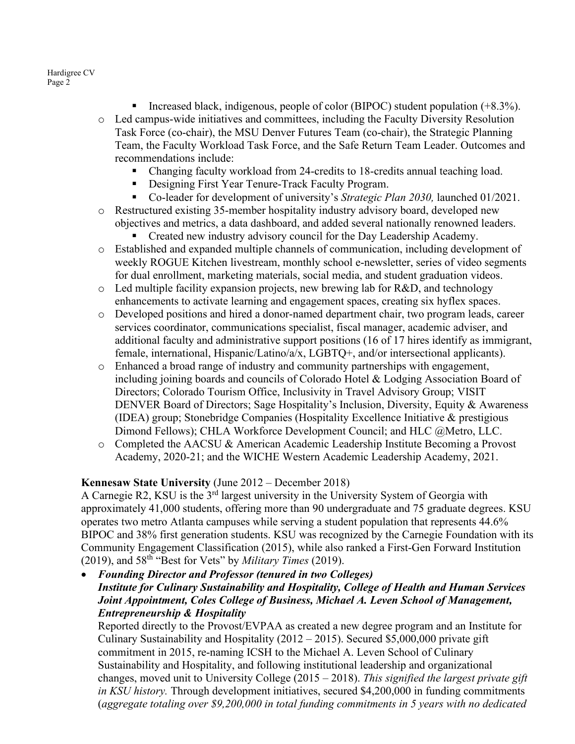- Increased black, indigenous, people of color (BIPOC) student population  $(+8.3\%)$ .
- o Led campus-wide initiatives and committees, including the Faculty Diversity Resolution Task Force (co-chair), the MSU Denver Futures Team (co-chair), the Strategic Planning Team, the Faculty Workload Task Force, and the Safe Return Team Leader. Outcomes and recommendations include:
	- Changing faculty workload from 24-credits to 18-credits annual teaching load.
	- **Designing First Year Tenure-Track Faculty Program.**
	- Co-leader for development of university's *Strategic Plan 2030,* launched 01/2021.
- o Restructured existing 35-member hospitality industry advisory board, developed new objectives and metrics, a data dashboard, and added several nationally renowned leaders.
	- Created new industry advisory council for the Day Leadership Academy.
- o Established and expanded multiple channels of communication, including development of weekly ROGUE Kitchen livestream, monthly school e-newsletter, series of video segments for dual enrollment, marketing materials, social media, and student graduation videos.
- o Led multiple facility expansion projects, new brewing lab for R&D, and technology enhancements to activate learning and engagement spaces, creating six hyflex spaces.
- o Developed positions and hired a donor-named department chair, two program leads, career services coordinator, communications specialist, fiscal manager, academic adviser, and additional faculty and administrative support positions (16 of 17 hires identify as immigrant, female, international, Hispanic/Latino/a/x, LGBTQ+, and/or intersectional applicants).
- o Enhanced a broad range of industry and community partnerships with engagement, including joining boards and councils of Colorado Hotel & Lodging Association Board of Directors; Colorado Tourism Office, Inclusivity in Travel Advisory Group; VISIT DENVER Board of Directors; Sage Hospitality's Inclusion, Diversity, Equity & Awareness (IDEA) group; Stonebridge Companies (Hospitality Excellence Initiative & prestigious Dimond Fellows); CHLA Workforce Development Council; and HLC @Metro, LLC.
- o Completed the AACSU & American Academic Leadership Institute Becoming a Provost Academy, 2020-21; and the WICHE Western Academic Leadership Academy, 2021.

#### **Kennesaw State University** (June 2012 – December 2018)

A Carnegie R2, KSU is the  $3<sup>rd</sup>$  largest university in the University System of Georgia with approximately 41,000 students, offering more than 90 undergraduate and 75 graduate degrees. KSU operates two metro Atlanta campuses while serving a student population that represents 44.6% BIPOC and 38% first generation students. KSU was recognized by the Carnegie Foundation with its Community Engagement Classification (2015), while also ranked a First-Gen Forward Institution (2019), and 58th "Best for Vets" by *Military Times* (2019).

• *Founding Director and Professor (tenured in two Colleges) Institute for Culinary Sustainability and Hospitality, College of Health and Human Services Joint Appointment, Coles College of Business, Michael A. Leven School of Management, Entrepreneurship & Hospitality* 

Reported directly to the Provost/EVPAA as created a new degree program and an Institute for Culinary Sustainability and Hospitality (2012 – 2015). Secured \$5,000,000 private gift commitment in 2015, re-naming ICSH to the Michael A. Leven School of Culinary Sustainability and Hospitality, and following institutional leadership and organizational changes, moved unit to University College (2015 – 2018). *This signified the largest private gift in KSU history.* Through development initiatives, secured \$4,200,000 in funding commitments (*aggregate totaling over \$9,200,000 in total funding commitments in 5 years with no dedicated*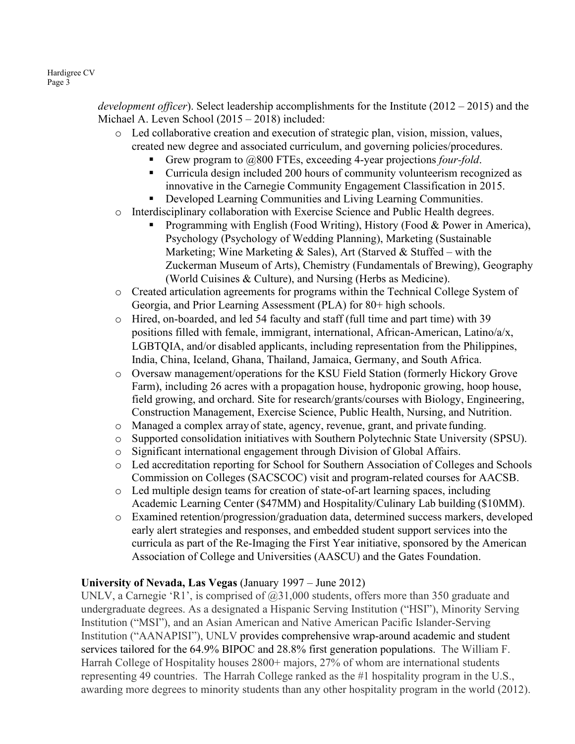*development officer*). Select leadership accomplishments for the Institute (2012 – 2015) and the Michael A. Leven School (2015 – 2018) included:

- o Led collaborative creation and execution of strategic plan, vision, mission, values, created new degree and associated curriculum, and governing policies/procedures.
	- Grew program to @800 FTEs, exceeding 4-year projections *four-fold*.
	- Curricula design included 200 hours of community volunteerism recognized as innovative in the Carnegie Community Engagement Classification in 2015.
	- Developed Learning Communities and Living Learning Communities.
- o Interdisciplinary collaboration with Exercise Science and Public Health degrees.
	- Programming with English (Food Writing), History (Food & Power in America), Psychology (Psychology of Wedding Planning), Marketing (Sustainable Marketing; Wine Marketing & Sales), Art (Starved & Stuffed – with the Zuckerman Museum of Arts), Chemistry (Fundamentals of Brewing), Geography (World Cuisines & Culture), and Nursing (Herbs as Medicine).
- o Created articulation agreements for programs within the Technical College System of Georgia, and Prior Learning Assessment (PLA) for 80+ high schools.
- o Hired, on-boarded, and led 54 faculty and staff (full time and part time) with 39 positions filled with female, immigrant, international, African-American, Latino/a/x, LGBTQIA, and/or disabled applicants, including representation from the Philippines, India, China, Iceland, Ghana, Thailand, Jamaica, Germany, and South Africa.
- o Oversaw management/operations for the KSU Field Station (formerly Hickory Grove Farm), including 26 acres with a propagation house, hydroponic growing, hoop house, field growing, and orchard. Site for research/grants/courses with Biology, Engineering, Construction Management, Exercise Science, Public Health, Nursing, and Nutrition.
- o Managed a complex array of state, agency, revenue, grant, and private funding.
- o Supported consolidation initiatives with Southern Polytechnic State University (SPSU).
- o Significant international engagement through Division of Global Affairs.
- o Led accreditation reporting for School for Southern Association of Colleges and Schools Commission on Colleges (SACSCOC) visit and program-related courses for AACSB.
- o Led multiple design teams for creation of state-of-art learning spaces, including Academic Learning Center (\$47MM) and Hospitality/Culinary Lab building (\$10MM).
- o Examined retention/progression/graduation data, determined success markers, developed early alert strategies and responses, and embedded student support services into the curricula as part of the Re-Imaging the First Year initiative, sponsored by the American Association of College and Universities (AASCU) and the Gates Foundation.

#### **University of Nevada, Las Vegas** (January 1997 – June 2012)

UNLV, a Carnegie 'R1', is comprised of  $(2, 31, 000)$  students, offers more than 350 graduate and undergraduate degrees. As a designated a Hispanic Serving Institution ("HSI"), Minority Serving Institution ("MSI"), and an Asian American and Native American Pacific Islander-Serving Institution ("AANAPISI"), UNLV provides comprehensive wrap-around academic and student services tailored for the 64.9% BIPOC and 28.8% first generation populations. The William F. Harrah College of Hospitality houses 2800+ majors, 27% of whom are international students representing 49 countries. The Harrah College ranked as the #1 hospitality program in the U.S., awarding more degrees to minority students than any other hospitality program in the world (2012).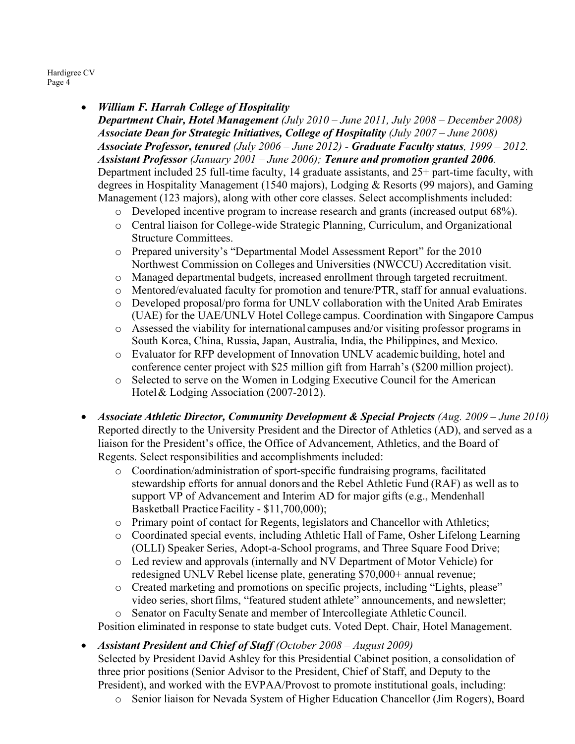#### • *William F. Harrah College of Hospitality*

- *Department Chair, Hotel Management (July 2010 – June 2011, July 2008 – December 2008) Associate Dean for Strategic Initiatives, College of Hospitality (July 2007 – June 2008) Associate Professor, tenured (July 2006 – June 2012) - Graduate Faculty status, 1999 – 2012. Assistant Professor (January 2001 – June 2006); Tenure and promotion granted 2006.* Department included 25 full-time faculty, 14 graduate assistants, and 25+ part-time faculty, with degrees in Hospitality Management (1540 majors), Lodging & Resorts (99 majors), and Gaming Management (123 majors), along with other core classes. Select accomplishments included:
	- o Developed incentive program to increase research and grants (increased output 68%).
	- o Central liaison for College-wide Strategic Planning, Curriculum, and Organizational Structure Committees.
	- o Prepared university's "Departmental Model Assessment Report" for the 2010 Northwest Commission on Colleges and Universities (NWCCU) Accreditation visit.
	- o Managed departmental budgets, increased enrollment through targeted recruitment.
	- o Mentored/evaluated faculty for promotion and tenure/PTR, staff for annual evaluations.
	- o Developed proposal/pro forma for UNLV collaboration with the United Arab Emirates (UAE) for the UAE/UNLV Hotel College campus. Coordination with Singapore Campus
	- o Assessed the viability for international campuses and/or visiting professor programs in South Korea, China, Russia, Japan, Australia, India, the Philippines, and Mexico.
	- o Evaluator for RFP development of Innovation UNLV academicbuilding, hotel and conference center project with \$25 million gift from Harrah's (\$200 million project).
	- o Selected to serve on the Women in Lodging Executive Council for the American Hotel& Lodging Association (2007-2012).
- *Associate Athletic Director, Community Development & Special Projects (Aug. 2009 – June 2010)* Reported directly to the University President and the Director of Athletics (AD), and served as a liaison for the President's office, the Office of Advancement, Athletics, and the Board of Regents. Select responsibilities and accomplishments included:
	- o Coordination/administration of sport-specific fundraising programs, facilitated stewardship efforts for annual donors and the Rebel Athletic Fund (RAF) as well as to support VP of Advancement and Interim AD for major gifts (e.g., Mendenhall Basketball Practice Facility - \$11,700,000);
	- o Primary point of contact for Regents, legislators and Chancellor with Athletics;
	- o Coordinated special events, including Athletic Hall of Fame, Osher Lifelong Learning (OLLI) Speaker Series, Adopt-a-School programs, and Three Square Food Drive;
	- o Led review and approvals (internally and NV Department of Motor Vehicle) for redesigned UNLV Rebel license plate, generating \$70,000+ annual revenue;
	- o Created marketing and promotions on specific projects, including "Lights, please" video series, short films, "featured student athlete" announcements, and newsletter;
	- o Senator on FacultySenate and member of Intercollegiate AthleticCouncil.

Position eliminated in response to state budget cuts. Voted Dept. Chair, Hotel Management.

#### • *Assistant President and Chief of Staff (October 2008 – August 2009)*

Selected by President David Ashley for this Presidential Cabinet position, a consolidation of three prior positions (Senior Advisor to the President, Chief of Staff, and Deputy to the President), and worked with the EVPAA/Provost to promote institutional goals, including:

o Senior liaison for Nevada System of Higher Education Chancellor (Jim Rogers), Board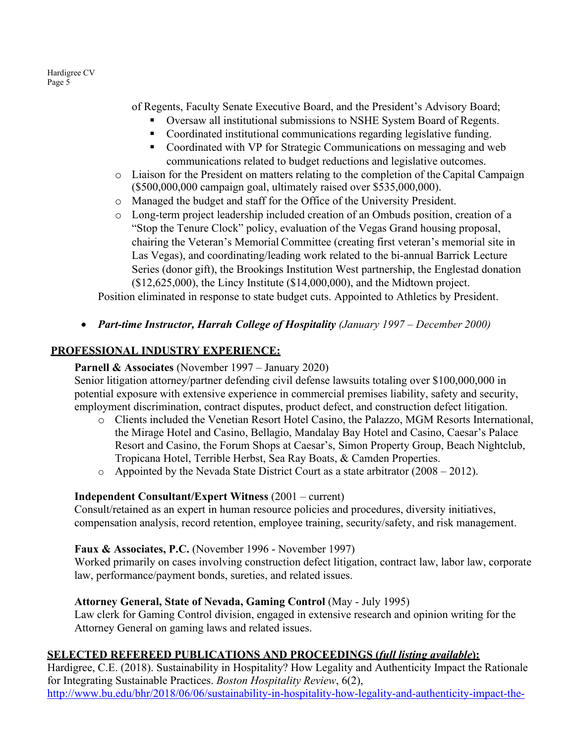of Regents, Faculty Senate Executive Board, and the President's Advisory Board;

- Oversaw all institutional submissions to NSHE System Board of Regents.
- Coordinated institutional communications regarding legislative funding.
- Coordinated with VP for Strategic Communications on messaging and web communications related to budget reductions and legislative outcomes.
- o Liaison for the President on matters relating to the completion of the Capital Campaign (\$500,000,000 campaign goal, ultimately raised over \$535,000,000).
- o Managed the budget and staff for the Office of the University President.
- o Long-term project leadership included creation of an Ombuds position, creation of a "Stop the Tenure Clock" policy, evaluation of the Vegas Grand housing proposal, chairing the Veteran's Memorial Committee (creating first veteran's memorial site in Las Vegas), and coordinating/leading work related to the bi-annual Barrick Lecture Series (donor gift), the Brookings Institution West partnership, the Englestad donation  $($12,625,000)$ , the Lincy Institute  $($14,000,000)$ , and the Midtown project.

Position eliminated in response to state budget cuts. Appointed to Athletics by President.

• *Part-time Instructor, Harrah College of Hospitality (January 1997 – December 2000)* 

#### **PROFESSIONAL INDUSTRY EXPERIENCE:**

#### **Parnell & Associates** (November 1997 – January 2020)

Senior litigation attorney/partner defending civil defense lawsuits totaling over \$100,000,000 in potential exposure with extensive experience in commercial premises liability, safety and security, employment discrimination, contract disputes, product defect, and construction defect litigation.

- o Clients included the Venetian Resort Hotel Casino, the Palazzo, MGM Resorts International, the Mirage Hotel and Casino, Bellagio, Mandalay Bay Hotel and Casino, Caesar's Palace Resort and Casino, the Forum Shops at Caesar's, Simon Property Group, Beach Nightclub, Tropicana Hotel, Terrible Herbst, Sea Ray Boats, & Camden Properties.
- o Appointed by the Nevada State District Court as a state arbitrator (2008 2012).

#### **Independent Consultant/Expert Witness** (2001 – current)

Consult/retained as an expert in human resource policies and procedures, diversity initiatives, compensation analysis, record retention, employee training, security/safety, and risk management.

#### **Faux & Associates, P.C.** (November 1996 - November 1997)

Worked primarily on cases involving construction defect litigation, contract law, labor law, corporate law, performance/payment bonds, sureties, and related issues.

#### **Attorney General, State of Nevada, Gaming Control** (May - July 1995)

Law clerk for Gaming Control division, engaged in extensive research and opinion writing for the Attorney General on gaming laws and related issues.

#### **SELECTED REFEREED PUBLICATIONS AND PROCEEDINGS (***full listing available***):**

Hardigree, C.E. (2018). Sustainability in Hospitality? How Legality and Authenticity Impact the Rationale for Integrating Sustainable Practices. *Boston Hospitality Review*, 6(2), [http://www.bu.edu/bhr/2018/06/06/sustainability-in-hospitality-how-legality-and-authenticity-impact-the-](http://www.bu.edu/bhr/2018/06/06/sustainability-in-hospitality-how-legality-and-authenticity-impact-the-rationale-for-integrating-sustainable-practices/)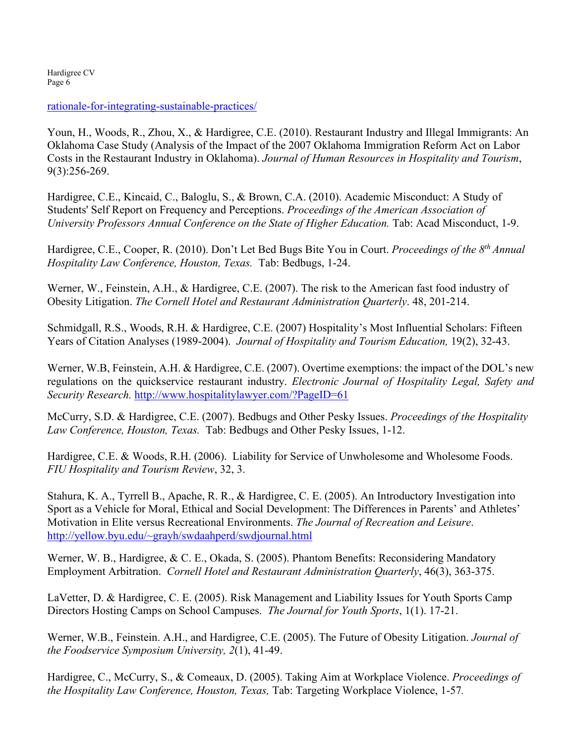[rationale-for-integrating-sustainable-practices/](http://www.bu.edu/bhr/2018/06/06/sustainability-in-hospitality-how-legality-and-authenticity-impact-the-rationale-for-integrating-sustainable-practices/) 

Youn, H., Woods, R., Zhou, X., & Hardigree, C.E. (2010). Restaurant Industry and Illegal Immigrants: An Oklahoma Case Study (Analysis of the Impact of the 2007 Oklahoma Immigration Reform Act on Labor Costs in the Restaurant Industry in Oklahoma). *Journal of Human Resources in Hospitality and Tourism*, 9(3):256-269.

Hardigree, C.E., Kincaid, C., Baloglu, S., & Brown, C.A. (2010). Academic Misconduct: A Study of Students' Self Report on Frequency and Perceptions. *Proceedings of the American Association of University Professors Annual Conference on the State of Higher Education.* Tab: Acad Misconduct, 1-9.

Hardigree, C.E., Cooper, R. (2010). Don't Let Bed Bugs Bite You in Court. *Proceedings of the 8th Annual Hospitality Law Conference, Houston, Texas.* Tab: Bedbugs, 1-24.

Werner, W., Feinstein, A.H., & Hardigree, C.E. (2007). The risk to the American fast food industry of Obesity Litigation. *The Cornell Hotel and Restaurant Administration Quarterly*. 48, 201-214.

Schmidgall, R.S., Woods, R.H. & Hardigree, C.E. (2007) Hospitality's Most Influential Scholars: Fifteen Years of Citation Analyses (1989-2004). *Journal of Hospitality and Tourism Education,* 19(2), 32-43.

Werner, W.B, Feinstein, A.H. & Hardigree, C.E. (2007). Overtime exemptions: the impact of the DOL's new regulations on the quickservice restaurant industry. *Electronic Journal of Hospitality Legal, Safety and Security Research.* <http://www.hospitalitylawyer.com/?PageID=61>

McCurry, S.D. & Hardigree, C.E. (2007). Bedbugs and Other Pesky Issues. *Proceedings of the Hospitality Law Conference, Houston, Texas.* Tab: Bedbugs and Other Pesky Issues, 1-12.

Hardigree, C.E. & Woods, R.H. (2006). Liability for Service of Unwholesome and Wholesome Foods. *FIU Hospitality and Tourism Review*, 32, 3.

Stahura, K. A., Tyrrell B., Apache, R. R., & Hardigree, C. E. (2005). An Introductory Investigation into Sport as a Vehicle for Moral, Ethical and Social Development: The Differences in Parents' and Athletes' Motivation in Elite versus Recreational Environments. *The Journal of Recreation and Leisure*. [http://yellow.byu.edu/~grayh/swdaahperd/swdjournal.html](http://yellow.byu.edu/%7Egrayh/swdaahperd/swdjournal.html)

Werner, W. B., Hardigree, & C. E., Okada, S. (2005). Phantom Benefits: Reconsidering Mandatory Employment Arbitration. *Cornell Hotel and Restaurant Administration Quarterly*, 46(3), 363-375.

LaVetter, D. & Hardigree, C. E. (2005). Risk Management and Liability Issues for Youth Sports Camp Directors Hosting Camps on School Campuses. *The Journal for Youth Sports*, 1(1). 17-21.

Werner, W.B., Feinstein. A.H., and Hardigree, C.E. (2005). The Future of Obesity Litigation. *Journal of the Foodservice Symposium University, 2*(1), 41-49.

Hardigree, C., McCurry, S., & Comeaux, D. (2005). Taking Aim at Workplace Violence. *Proceedings of the Hospitality Law Conference, Houston, Texas,* Tab: Targeting Workplace Violence, 1-57*.*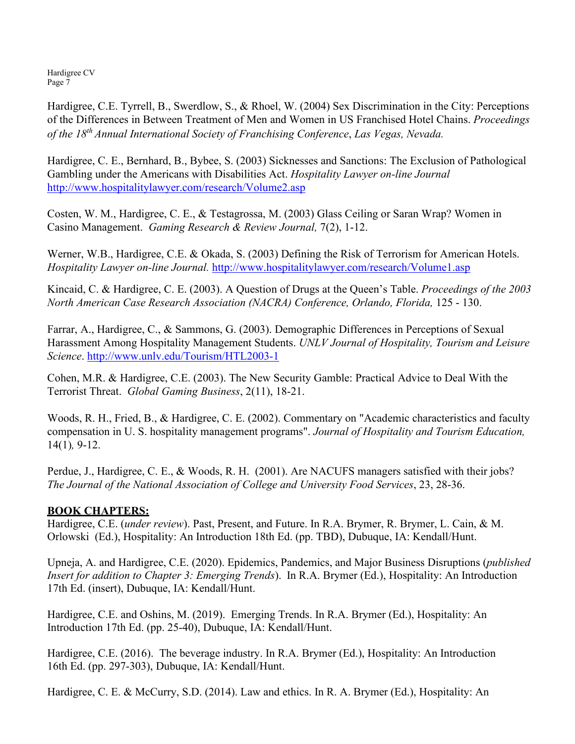Hardigree, C.E. Tyrrell, B., Swerdlow, S., & Rhoel, W. (2004) Sex Discrimination in the City: Perceptions of the Differences in Between Treatment of Men and Women in US Franchised Hotel Chains. *Proceedings of the 18th Annual International Society of Franchising Conference*, *Las Vegas, Nevada.* 

Hardigree, C. E., Bernhard, B., Bybee, S. (2003) Sicknesses and Sanctions: The Exclusion of Pathological Gambling under the Americans with Disabilities Act. *Hospitality Lawyer on-line Journal*  <http://www.hospitalitylawyer.com/research/Volume2.asp>

Costen, W. M., Hardigree, C. E., & Testagrossa, M. (2003) Glass Ceiling or Saran Wrap? Women in Casino Management. *Gaming Research & Review Journal,* 7(2), 1-12.

Werner, W.B., Hardigree, C.E. & Okada, S. (2003) Defining the Risk of Terrorism for American Hotels. *Hospitality Lawyer on-line Journal.* <http://www.hospitalitylawyer.com/research/Volume1.asp>

Kincaid, C. & Hardigree, C. E. (2003). A Question of Drugs at the Queen's Table. *Proceedings of the 2003 North American Case Research Association (NACRA) Conference, Orlando, Florida, 125 - 130.* 

Farrar, A., Hardigree, C., & Sammons, G. (2003). Demographic Differences in Perceptions of Sexual Harassment Among Hospitality Management Students. *UNLV Journal of Hospitality, Tourism and Leisure Science*.<http://www.unlv.edu/Tourism/HTL2003-1>

Cohen, M.R. & Hardigree, C.E. (2003). The New Security Gamble: Practical Advice to Deal With the Terrorist Threat. *Global Gaming Business*, 2(11), 18-21.

Woods, R. H., Fried, B., & Hardigree, C. E. (2002). Commentary on "Academic characteristics and faculty compensation in U. S. hospitality management programs". *Journal of Hospitality and Tourism Education,*  14(1)*,* 9-12.

Perdue, J., Hardigree, C. E., & Woods, R. H. (2001). Are NACUFS managers satisfied with their jobs? *The Journal of the National Association of College and University Food Services*, 23, 28-36.

#### **BOOK CHAPTERS:**

Hardigree, C.E. (*under review*). Past, Present, and Future. In R.A. Brymer, R. Brymer, L. Cain, & M. Orlowski (Ed.), Hospitality: An Introduction 18th Ed. (pp. TBD), Dubuque, IA: Kendall/Hunt.

Upneja, A. and Hardigree, C.E. (2020). Epidemics, Pandemics, and Major Business Disruptions (*published Insert for addition to Chapter 3: Emerging Trends*). In R.A. Brymer (Ed.), Hospitality: An Introduction 17th Ed. (insert), Dubuque, IA: Kendall/Hunt.

Hardigree, C.E. and Oshins, M. (2019). Emerging Trends. In R.A. Brymer (Ed.), Hospitality: An Introduction 17th Ed. (pp. 25-40), Dubuque, IA: Kendall/Hunt.

Hardigree, C.E. (2016). The beverage industry. In R.A. Brymer (Ed.), Hospitality: An Introduction 16th Ed. (pp. 297-303), Dubuque, IA: Kendall/Hunt.

Hardigree, C. E. & McCurry, S.D. (2014). Law and ethics. In R. A. Brymer (Ed.), Hospitality: An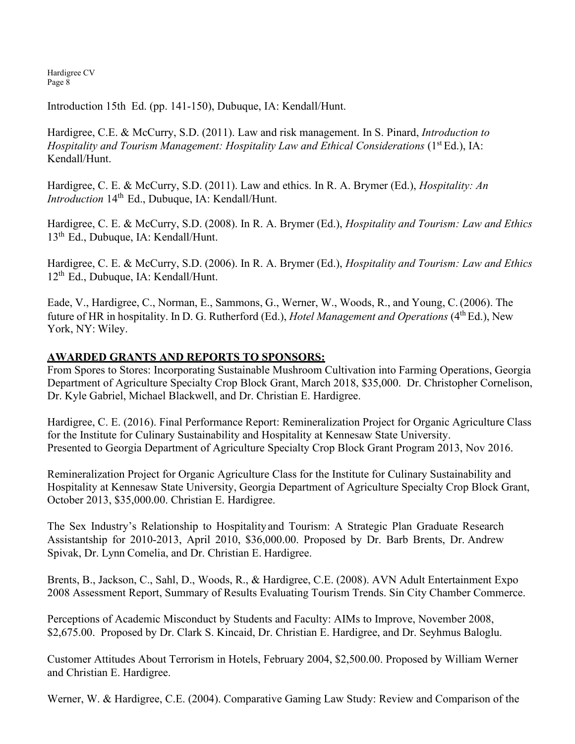Introduction 15th Ed. (pp. 141-150), Dubuque, IA: Kendall/Hunt.

Hardigree, C.E. & McCurry, S.D. (2011). Law and risk management. In S. Pinard, *Introduction to Hospitality and Tourism Management: Hospitality Law and Ethical Considerations* (1<sup>st</sup> Ed.), IA: Kendall/Hunt.

Hardigree, C. E. & McCurry, S.D. (2011). Law and ethics. In R. A. Brymer (Ed.), *Hospitality: An Introduction* 14<sup>th</sup> Ed., Dubuque, IA: Kendall/Hunt.

Hardigree, C. E. & McCurry, S.D. (2008). In R. A. Brymer (Ed.), *Hospitality and Tourism: Law and Ethics*  13<sup>th</sup> Ed., Dubuque, IA: Kendall/Hunt.

Hardigree, C. E. & McCurry, S.D. (2006). In R. A. Brymer (Ed.), *Hospitality and Tourism: Law and Ethics*  12<sup>th</sup> Ed., Dubuque, IA: Kendall/Hunt.

Eade, V., Hardigree, C., Norman, E., Sammons, G., Werner, W., Woods, R., and Young, C.(2006). The future of HR in hospitality. In D. G. Rutherford (Ed.), *Hotel Management and Operations* (4th Ed.), New York, NY: Wiley.

#### **AWARDED GRANTS AND REPORTS TO SPONSORS:**

From Spores to Stores: Incorporating Sustainable Mushroom Cultivation into Farming Operations, Georgia Department of Agriculture Specialty Crop Block Grant, March 2018, \$35,000. Dr. Christopher Cornelison, Dr. Kyle Gabriel, Michael Blackwell, and Dr. Christian E. Hardigree.

Hardigree, C. E. (2016). Final Performance Report: Remineralization Project for Organic Agriculture Class for the Institute for Culinary Sustainability and Hospitality at Kennesaw State University. Presented to Georgia Department of Agriculture Specialty Crop Block Grant Program 2013, Nov 2016.

Remineralization Project for Organic Agriculture Class for the Institute for Culinary Sustainability and Hospitality at Kennesaw State University, Georgia Department of Agriculture Specialty Crop Block Grant, October 2013, \$35,000.00. Christian E. Hardigree.

The Sex Industry's Relationship to Hospitality and Tourism: A Strategic Plan Graduate Research Assistantship for 2010-2013, April 2010, \$36,000.00. Proposed by Dr. Barb Brents, Dr. Andrew Spivak, Dr. Lynn Comelia, and Dr. Christian E. Hardigree.

Brents, B., Jackson, C., Sahl, D., Woods, R., & Hardigree, C.E. (2008). AVN Adult Entertainment Expo 2008 Assessment Report, Summary of Results Evaluating Tourism Trends. Sin City Chamber Commerce.

Perceptions of Academic Misconduct by Students and Faculty: AIMs to Improve, November 2008, \$2,675.00. Proposed by Dr. Clark S. Kincaid, Dr. Christian E. Hardigree, and Dr. Seyhmus Baloglu.

Customer Attitudes About Terrorism in Hotels, February 2004, \$2,500.00. Proposed by William Werner and Christian E. Hardigree.

Werner, W. & Hardigree, C.E. (2004). Comparative Gaming Law Study: Review and Comparison of the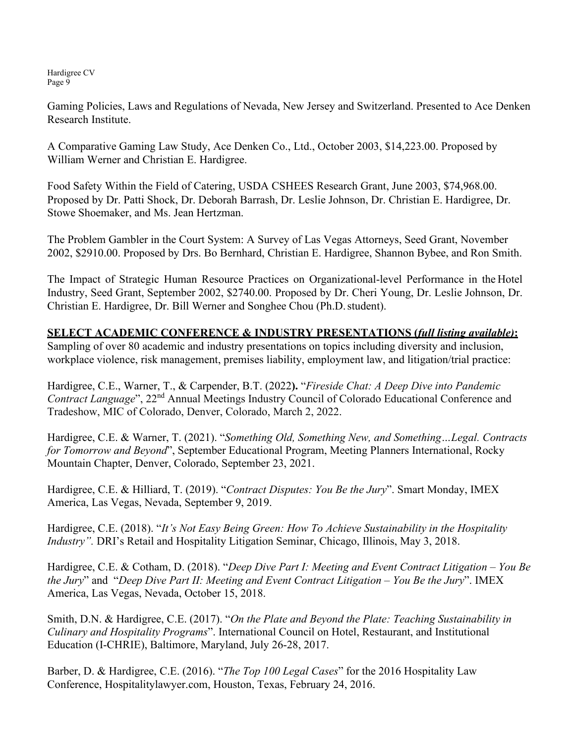Gaming Policies, Laws and Regulations of Nevada, New Jersey and Switzerland. Presented to Ace Denken Research Institute.

A Comparative Gaming Law Study, Ace Denken Co., Ltd., October 2003, \$14,223.00. Proposed by William Werner and Christian E. Hardigree.

Food Safety Within the Field of Catering, USDA CSHEES Research Grant, June 2003, \$74,968.00. Proposed by Dr. Patti Shock, Dr. Deborah Barrash, Dr. Leslie Johnson, Dr. Christian E. Hardigree, Dr. Stowe Shoemaker, and Ms. Jean Hertzman.

The Problem Gambler in the Court System: A Survey of Las Vegas Attorneys, Seed Grant, November 2002, \$2910.00. Proposed by Drs. Bo Bernhard, Christian E. Hardigree, Shannon Bybee, and Ron Smith.

The Impact of Strategic Human Resource Practices on Organizational-level Performance in the Hotel Industry, Seed Grant, September 2002, \$2740.00. Proposed by Dr. Cheri Young, Dr. Leslie Johnson, Dr. Christian E. Hardigree, Dr. Bill Werner and Songhee Chou (Ph.D. student).

# **SELECT ACADEMIC CONFERENCE & INDUSTRY PRESENTATIONS (***full listing available)***:**

Sampling of over 80 academic and industry presentations on topics including diversity and inclusion, workplace violence, risk management, premises liability, employment law, and litigation/trial practice:

Hardigree, C.E., Warner, T., & Carpender, B.T. (2022**).** "*Fireside Chat: A Deep Dive into Pandemic Contract Language*", 22<sup>nd</sup> Annual Meetings Industry Council of Colorado Educational Conference and Tradeshow, MIC of Colorado, Denver, Colorado, March 2, 2022.

Hardigree, C.E. & Warner, T. (2021). "*Something Old, Something New, and Something…Legal. Contracts for Tomorrow and Beyond*", September Educational Program, Meeting Planners International, Rocky Mountain Chapter, Denver, Colorado, September 23, 2021.

Hardigree, C.E. & Hilliard, T. (2019). "*Contract Disputes: You Be the Jury*". Smart Monday, IMEX America, Las Vegas, Nevada, September 9, 2019.

Hardigree, C.E. (2018). "*It's Not Easy Being Green: How To Achieve Sustainability in the Hospitality Industry".* DRI's Retail and Hospitality Litigation Seminar, Chicago, Illinois, May 3, 2018.

Hardigree, C.E. & Cotham, D. (2018). "*Deep Dive Part I: Meeting and Event Contract Litigation – You Be the Jury*" and "*Deep Dive Part II: Meeting and Event Contract Litigation – You Be the Jury*". IMEX America, Las Vegas, Nevada, October 15, 2018.

Smith, D.N. & Hardigree, C.E. (2017). "*On the Plate and Beyond the Plate: Teaching Sustainability in Culinary and Hospitality Programs*". International Council on Hotel, Restaurant, and Institutional Education (I-CHRIE), Baltimore, Maryland, July 26-28, 2017.

Barber, D. & Hardigree, C.E. (2016). "*The Top 100 Legal Cases*" for the 2016 Hospitality Law Conference, Hospitalitylawyer.com, Houston, Texas, February 24, 2016.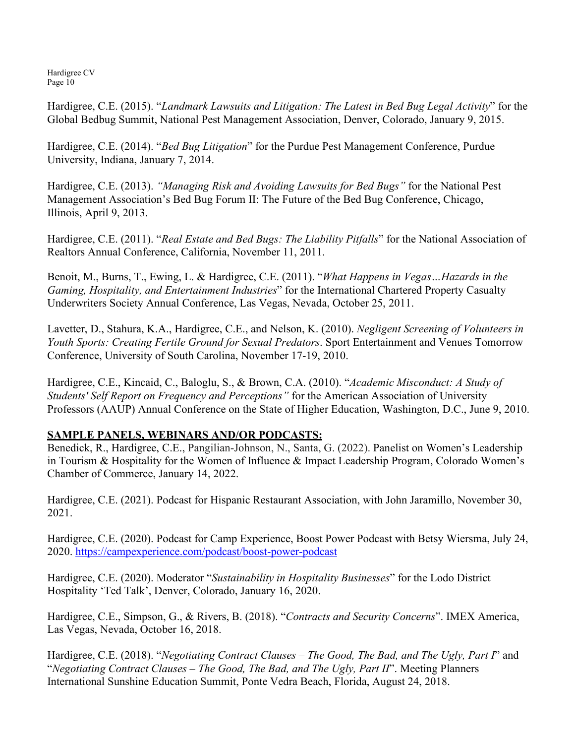Hardigree, C.E. (2015). "*Landmark Lawsuits and Litigation: The Latest in Bed Bug Legal Activity*" for the Global Bedbug Summit, National Pest Management Association, Denver, Colorado, January 9, 2015.

Hardigree, C.E. (2014). "*Bed Bug Litigation*" for the Purdue Pest Management Conference, Purdue University, Indiana, January 7, 2014.

Hardigree, C.E. (2013). *"Managing Risk and Avoiding Lawsuits for Bed Bugs"* for the National Pest Management Association's Bed Bug Forum II: The Future of the Bed Bug Conference, Chicago, Illinois, April 9, 2013.

Hardigree, C.E. (2011). "*Real Estate and Bed Bugs: The Liability Pitfalls*" for the National Association of Realtors Annual Conference, California, November 11, 2011.

Benoit, M., Burns, T., Ewing, L. & Hardigree, C.E. (2011). "*What Happens in Vegas…Hazards in the Gaming, Hospitality, and Entertainment Industries*" for the International Chartered Property Casualty Underwriters Society Annual Conference, Las Vegas, Nevada, October 25, 2011.

Lavetter, D., Stahura, K.A., Hardigree, C.E., and Nelson, K. (2010). *Negligent Screening of Volunteers in Youth Sports: Creating Fertile Ground for Sexual Predators*. Sport Entertainment and Venues Tomorrow Conference, University of South Carolina, November 17-19, 2010.

Hardigree, C.E., Kincaid, C., Baloglu, S., & Brown, C.A. (2010). "*Academic Misconduct: A Study of Students' Self Report on Frequency and Perceptions"* for the American Association of University Professors (AAUP) Annual Conference on the State of Higher Education, Washington, D.C., June 9, 2010.

#### **SAMPLE PANELS, WEBINARS AND/OR PODCASTS:**

Benedick, R., Hardigree, C.E., Pangilian-Johnson, N., Santa, G. (2022). Panelist on Women's Leadership in Tourism & Hospitality for the Women of Influence & Impact Leadership Program, Colorado Women's Chamber of Commerce, January 14, 2022.

Hardigree, C.E. (2021). Podcast for Hispanic Restaurant Association, with John Jaramillo, November 30, 2021.

Hardigree, C.E. (2020). Podcast for Camp Experience, Boost Power Podcast with Betsy Wiersma, July 24, 2020.<https://campexperience.com/podcast/boost-power-podcast>

Hardigree, C.E. (2020). Moderator "*Sustainability in Hospitality Businesses*" for the Lodo District Hospitality 'Ted Talk', Denver, Colorado, January 16, 2020.

Hardigree, C.E., Simpson, G., & Rivers, B. (2018). "*Contracts and Security Concerns*". IMEX America, Las Vegas, Nevada, October 16, 2018.

Hardigree, C.E. (2018). "*Negotiating Contract Clauses – The Good, The Bad, and The Ugly, Part I*" and "*Negotiating Contract Clauses – The Good, The Bad, and The Ugly, Part II*". Meeting Planners International Sunshine Education Summit, Ponte Vedra Beach, Florida, August 24, 2018.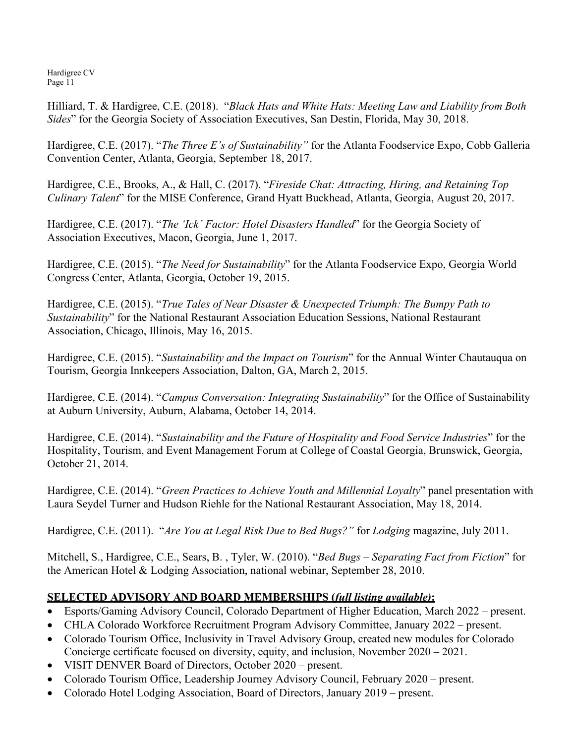Hilliard, T. & Hardigree, C.E. (2018). "*Black Hats and White Hats: Meeting Law and Liability from Both Sides*" for the Georgia Society of Association Executives, San Destin, Florida, May 30, 2018.

Hardigree, C.E. (2017). "*The Three E's of Sustainability"* for the Atlanta Foodservice Expo, Cobb Galleria Convention Center, Atlanta, Georgia, September 18, 2017.

Hardigree, C.E., Brooks, A., & Hall, C. (2017). "*Fireside Chat: Attracting, Hiring, and Retaining Top Culinary Talent*" for the MISE Conference, Grand Hyatt Buckhead, Atlanta, Georgia, August 20, 2017.

Hardigree, C.E. (2017). "*The 'Ick' Factor: Hotel Disasters Handled*" for the Georgia Society of Association Executives, Macon, Georgia, June 1, 2017.

Hardigree, C.E. (2015). "*The Need for Sustainability*" for the Atlanta Foodservice Expo, Georgia World Congress Center, Atlanta, Georgia, October 19, 2015.

Hardigree, C.E. (2015). "*True Tales of Near Disaster & Unexpected Triumph: The Bumpy Path to Sustainability*" for the National Restaurant Association Education Sessions, National Restaurant Association, Chicago, Illinois, May 16, 2015.

Hardigree, C.E. (2015). "*Sustainability and the Impact on Tourism*" for the Annual Winter Chautauqua on Tourism, Georgia Innkeepers Association, Dalton, GA, March 2, 2015.

Hardigree, C.E. (2014). "*Campus Conversation: Integrating Sustainability*" for the Office of Sustainability at Auburn University, Auburn, Alabama, October 14, 2014.

Hardigree, C.E. (2014). "*Sustainability and the Future of Hospitality and Food Service Industries*" for the Hospitality, Tourism, and Event Management Forum at College of Coastal Georgia, Brunswick, Georgia, October 21, 2014.

Hardigree, C.E. (2014). "*Green Practices to Achieve Youth and Millennial Loyalty*" panel presentation with Laura Seydel Turner and Hudson Riehle for the National Restaurant Association, May 18, 2014.

Hardigree, C.E. (2011). "*Are You at Legal Risk Due to Bed Bugs?"* for *Lodging* magazine, July 2011.

Mitchell, S., Hardigree, C.E., Sears, B. , Tyler, W. (2010). "*Bed Bugs – Separating Fact from Fiction*" for the American Hotel & Lodging Association, national webinar, September 28, 2010.

# **SELECTED ADVISORY AND BOARD MEMBERSHIPS (***full listing available)***:**

- Esports/Gaming Advisory Council, Colorado Department of Higher Education, March 2022 present.
- CHLA Colorado Workforce Recruitment Program Advisory Committee, January 2022 present.
- Colorado Tourism Office, Inclusivity in Travel Advisory Group, created new modules for Colorado Concierge certificate focused on diversity, equity, and inclusion, November 2020 – 2021.
- VISIT DENVER Board of Directors, October 2020 present.
- Colorado Tourism Office, Leadership Journey Advisory Council, February 2020 present.
- Colorado Hotel Lodging Association, Board of Directors, January 2019 present.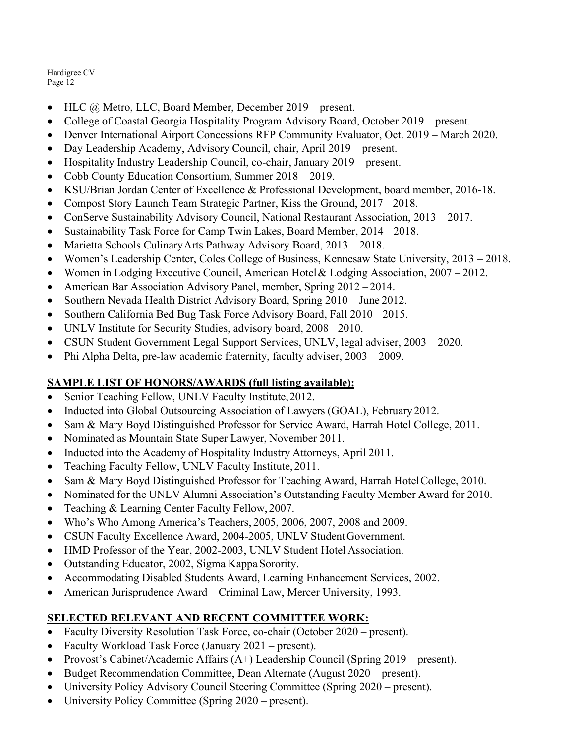- HLC @ Metro, LLC, Board Member, December 2019 present.
- College of Coastal Georgia Hospitality Program Advisory Board, October 2019 present.
- Denver International Airport Concessions RFP Community Evaluator, Oct. 2019 March 2020.
- Day Leadership Academy, Advisory Council, chair, April 2019 present.
- Hospitality Industry Leadership Council, co-chair, January 2019 present.
- Cobb County Education Consortium, Summer 2018 2019.
- KSU/Brian Jordan Center of Excellence & Professional Development, board member, 2016-18.
- Compost Story Launch Team Strategic Partner, Kiss the Ground, 2017–2018.
- ConServe Sustainability Advisory Council, National Restaurant Association, 2013 2017.
- Sustainability Task Force for Camp Twin Lakes, Board Member, 2014 2018.
- Marietta Schools Culinary Arts Pathway Advisory Board, 2013 2018.
- Women's Leadership Center, Coles College of Business, Kennesaw State University, 2013 2018.
- Women in Lodging Executive Council, American Hotel & Lodging Association, 2007 2012.
- American Bar Association Advisory Panel, member, Spring 2012 2014.
- Southern Nevada Health District Advisory Board, Spring 2010 June 2012.
- Southern California Bed Bug Task Force Advisory Board, Fall 2010 2015.
- UNLV Institute for Security Studies, advisory board, 2008 2010.
- CSUN Student Government Legal Support Services, UNLV, legal adviser, 2003 2020.
- Phi Alpha Delta, pre-law academic fraternity, faculty adviser, 2003 2009.

#### **SAMPLE LIST OF HONORS/AWARDS (full listing available):**

- Senior Teaching Fellow, UNLV Faculty Institute, 2012.
- Inducted into Global Outsourcing Association of Lawyers (GOAL), February 2012.
- Sam & Mary Boyd Distinguished Professor for Service Award, Harrah Hotel College, 2011.
- Nominated as Mountain State Super Lawyer, November 2011.
- Inducted into the Academy of Hospitality Industry Attorneys, April 2011.
- Teaching Faculty Fellow, UNLV Faculty Institute, 2011.
- Sam & Mary Boyd Distinguished Professor for Teaching Award, Harrah Hotel College, 2010.
- Nominated for the UNLV Alumni Association's Outstanding Faculty Member Award for 2010.
- Teaching & Learning Center Faculty Fellow, 2007.
- Who's Who Among America's Teachers, 2005, 2006, 2007, 2008 and 2009.
- CSUN Faculty Excellence Award, 2004-2005, UNLV Student Government.
- HMD Professor of the Year, 2002-2003, UNLV Student Hotel Association.
- Outstanding Educator, 2002, Sigma Kappa Sorority.
- Accommodating Disabled Students Award, Learning Enhancement Services, 2002.
- American Jurisprudence Award Criminal Law, Mercer University, 1993.

#### **SELECTED RELEVANT AND RECENT COMMITTEE WORK:**

- Faculty Diversity Resolution Task Force, co-chair (October 2020 present).
- Faculty Workload Task Force (January 2021 present).
- Provost's Cabinet/Academic Affairs (A+) Leadership Council (Spring 2019 present).
- Budget Recommendation Committee, Dean Alternate (August 2020 present).
- University Policy Advisory Council Steering Committee (Spring 2020 present).
- University Policy Committee (Spring 2020 present).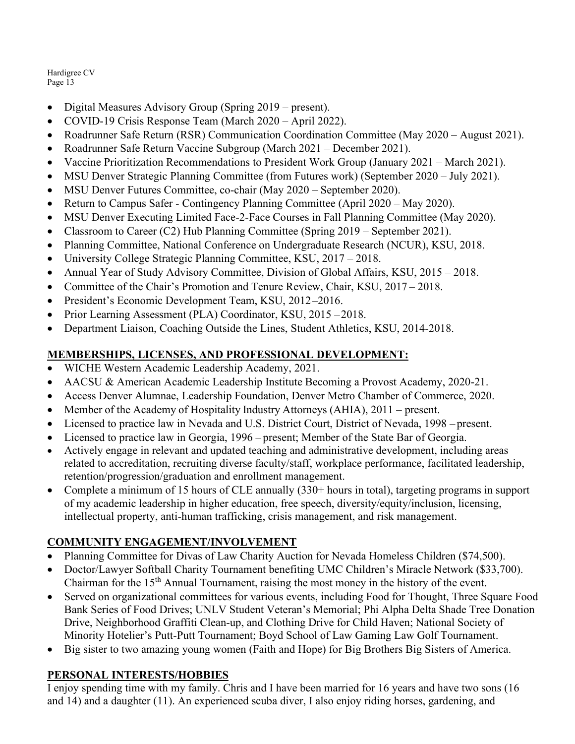- Digital Measures Advisory Group (Spring 2019 present).
- COVID-19 Crisis Response Team (March 2020 April 2022).
- Roadrunner Safe Return (RSR) Communication Coordination Committee (May 2020 August 2021).
- Roadrunner Safe Return Vaccine Subgroup (March 2021 December 2021).
- Vaccine Prioritization Recommendations to President Work Group (January 2021 March 2021).
- MSU Denver Strategic Planning Committee (from Futures work) (September 2020 July 2021).
- MSU Denver Futures Committee, co-chair (May 2020 September 2020).
- Return to Campus Safer Contingency Planning Committee (April 2020 May 2020).
- MSU Denver Executing Limited Face-2-Face Courses in Fall Planning Committee (May 2020).
- Classroom to Career (C2) Hub Planning Committee (Spring 2019 September 2021).
- Planning Committee, National Conference on Undergraduate Research (NCUR), KSU, 2018.
- University College Strategic Planning Committee, KSU, 2017 2018.
- Annual Year of Study Advisory Committee, Division of Global Affairs, KSU, 2015 2018.
- Committee of the Chair's Promotion and Tenure Review, Chair, KSU, 2017 2018.
- President's Economic Development Team, KSU, 2012-2016.
- Prior Learning Assessment (PLA) Coordinator, KSU, 2015 2018.
- Department Liaison, Coaching Outside the Lines, Student Athletics, KSU, 2014-2018.

# **MEMBERSHIPS, LICENSES, AND PROFESSIONAL DEVELOPMENT:**

- WICHE Western Academic Leadership Academy, 2021.
- AACSU & American Academic Leadership Institute Becoming a Provost Academy, 2020-21.
- Access Denver Alumnae, Leadership Foundation, Denver Metro Chamber of Commerce, 2020.
- Member of the Academy of Hospitality Industry Attorneys (AHIA), 2011 present.
- Licensed to practice law in Nevada and U.S. District Court, District of Nevada, 1998 present.
- Licensed to practice law in Georgia, 1996 present; Member of the State Bar of Georgia.
- Actively engage in relevant and updated teaching and administrative development, including areas related to accreditation, recruiting diverse faculty/staff, workplace performance, facilitated leadership, retention/progression/graduation and enrollment management.
- Complete a minimum of 15 hours of CLE annually (330+ hours in total), targeting programs in support of my academic leadership in higher education, free speech, diversity/equity/inclusion, licensing, intellectual property, anti-human trafficking, crisis management, and risk management.

# **COMMUNITY ENGAGEMENT/INVOLVEMENT**

- Planning Committee for Divas of Law Charity Auction for Nevada Homeless Children (\$74,500).
- Doctor/Lawyer Softball Charity Tournament benefiting UMC Children's Miracle Network (\$33,700). Chairman for the 15<sup>th</sup> Annual Tournament, raising the most money in the history of the event.
- Served on organizational committees for various events, including Food for Thought, Three Square Food Bank Series of Food Drives; UNLV Student Veteran's Memorial; Phi Alpha Delta Shade Tree Donation Drive, Neighborhood Graffiti Clean-up, and Clothing Drive for Child Haven; National Society of Minority Hotelier's Putt-Putt Tournament; Boyd School of Law Gaming Law Golf Tournament.
- Big sister to two amazing young women (Faith and Hope) for Big Brothers Big Sisters of America.

# **PERSONAL INTERESTS/HOBBIES**

I enjoy spending time with my family. Chris and I have been married for 16 years and have two sons (16 and 14) and a daughter (11). An experienced scuba diver, I also enjoy riding horses, gardening, and